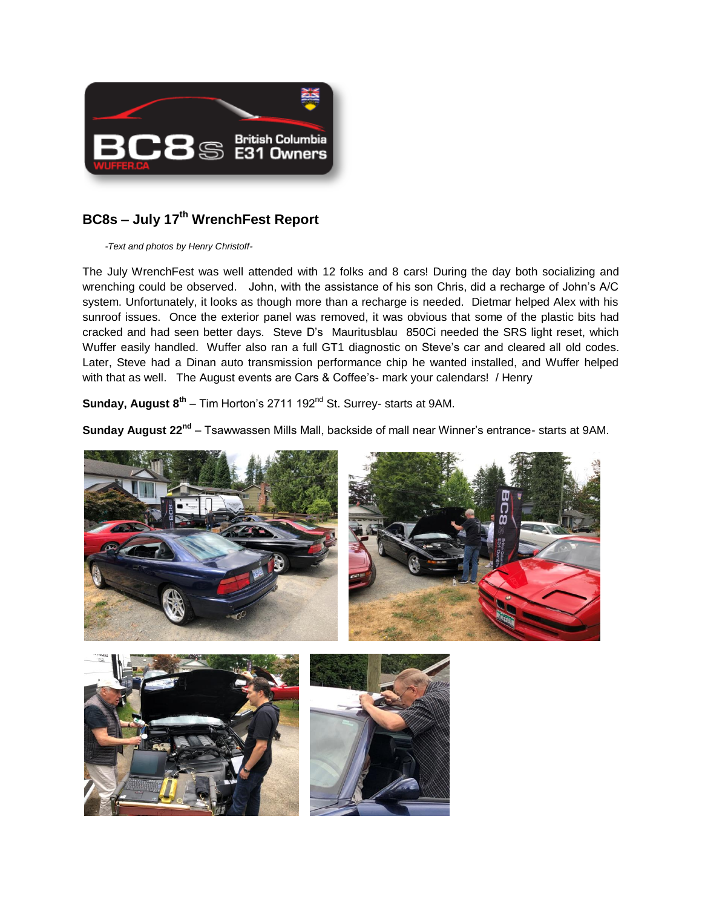

## **BC8s – July 17th WrenchFest Report**

*-Text and photos by Henry Christoff-*

The July WrenchFest was well attended with 12 folks and 8 cars! During the day both socializing and wrenching could be observed. John, with the assistance of his son Chris, did a recharge of John's A/C system. Unfortunately, it looks as though more than a recharge is needed. Dietmar helped Alex with his sunroof issues. Once the exterior panel was removed, it was obvious that some of the plastic bits had cracked and had seen better days. Steve D's Mauritusblau 850Ci needed the SRS light reset, which Wuffer easily handled. Wuffer also ran a full GT1 diagnostic on Steve's car and cleared all old codes. Later, Steve had a Dinan auto transmission performance chip he wanted installed, and Wuffer helped with that as well. The August events are Cars & Coffee's- mark your calendars! / Henry

**Sunday, August 8<sup>th</sup> – Tim Horton's 2711 192<sup>nd</sup> St. Surrey- starts at 9AM.** 

**Sunday August 22nd** – Tsawwassen Mills Mall, backside of mall near Winner's entrance- starts at 9AM.